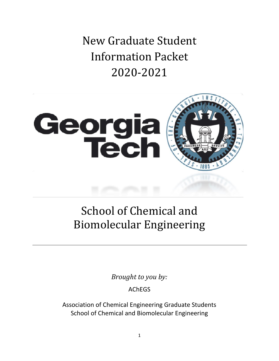New Graduate Student Information Packet 2020-2021



# School of Chemical and Biomolecular Engineering

*Brought to you by:*

AChEGS

Association of Chemical Engineering Graduate Students School of Chemical and Biomolecular Engineering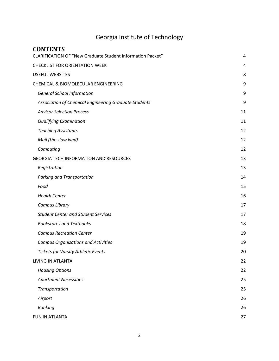## Georgia Institute of Technology

| <b>CONTENTS</b>                                                   |    |
|-------------------------------------------------------------------|----|
| <b>CLARIFICATION OF "New Graduate Student Information Packet"</b> | 4  |
| <b>CHECKLIST FOR ORIENTATION WEEK</b>                             | 4  |
| <b>USEFUL WEBSITES</b>                                            | 8  |
| CHEMICAL & BIOMOLECULAR ENGINEERING                               | 9  |
| <b>General School Information</b>                                 | 9  |
| Association of Chemical Engineering Graduate Students             | 9  |
| <b>Advisor Selection Process</b>                                  | 11 |
| <b>Qualifying Examination</b>                                     | 11 |
| <b>Teaching Assistants</b>                                        | 12 |
| Mail (the slow kind)                                              | 12 |
| Computing                                                         | 12 |
| <b>GEORGIA TECH INFORMATION AND RESOURCES</b>                     | 13 |
| Registration                                                      | 13 |
| Parking and Transportation                                        | 14 |
| Food                                                              | 15 |
| <b>Health Center</b>                                              | 16 |
| Campus Library                                                    | 17 |
| <b>Student Center and Student Services</b>                        | 17 |
| <b>Bookstores and Textbooks</b>                                   | 18 |
| <b>Campus Recreation Center</b>                                   | 19 |
| <b>Campus Organizations and Activities</b>                        | 19 |
| <b>Tickets for Varsity Athletic Events</b>                        | 20 |
| LIVING IN ATLANTA                                                 | 22 |
| <b>Housing Options</b>                                            | 22 |
| <b>Apartment Necessities</b>                                      | 25 |
| Transportation                                                    | 25 |
| Airport                                                           | 26 |
| <b>Banking</b>                                                    | 26 |
| FUN IN ATLANTA                                                    | 27 |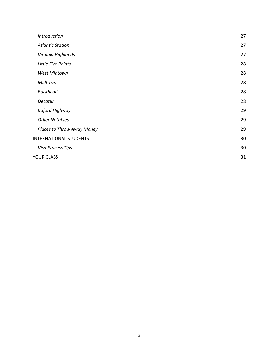| <b>Introduction</b>           | 27 |
|-------------------------------|----|
| <b>Atlantic Station</b>       | 27 |
| Virginia Highlands            | 27 |
| Little Five Points            | 28 |
| West Midtown                  | 28 |
| Midtown                       | 28 |
| <b>Buckhead</b>               | 28 |
| Decatur                       | 28 |
| <b>Buford Highway</b>         | 29 |
| <b>Other Notables</b>         | 29 |
| Places to Throw Away Money    | 29 |
| <b>INTERNATIONAL STUDENTS</b> | 30 |
| Visa Process Tips             | 30 |
| <b>YOUR CLASS</b>             | 31 |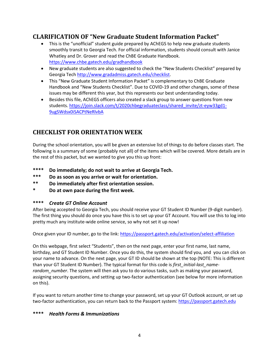## <span id="page-3-0"></span>**CLARIFICATION OF "New Graduate Student Information Packet"**

- This is the "unofficial" student guide prepared by AChEGS to help new graduate students smoothly transit to Georgia Tech. For official information, students should consult with Janice Whatley and Dr. Grover and read the ChBE Graduate Handbook. <https://www.chbe.gatech.edu/gradhandbook>
- New graduate students are also suggested to check the "New Students Checklist" prepared by Georgia Tech [http://www.gradadmiss.gatech.edu/checklist.](http://www.gradadmiss.gatech.edu/checklist)
- This "New Graduate Student Information Packet" is complementary to ChBE Graduate Handbook and "New Students Checklist". Due to COVID-19 and other changes, some of these issues may be different this year, but this represents our best understanding today.
- Besides this file, AChEGS officers also created a slack group to answer questions from new students. [https://join.slack.com/t/2020chbegraduateclass/shared\\_invite/zt-eyw33gd1-](https://join.slack.com/t/2020chbegraduateclass/shared_invite/zt-eyw33gd1-9ugSWdsx0iSACPtNeRlvbA) [9ugSWdsx0iSACPtNeRlvbA](https://join.slack.com/t/2020chbegraduateclass/shared_invite/zt-eyw33gd1-9ugSWdsx0iSACPtNeRlvbA)

## <span id="page-3-1"></span>**CHECKLIST FOR ORIENTATION WEEK**

During the school orientation, you will be given an extensive list of things to do before classes start. The following is a summary of some (probably not all) of the items which will be covered. More details are in the rest of this packet, but we wanted to give you this up front:

- **\*\*\*\* Do immediately; do not wait to arrive at Georgia Tech.**
- **\*\*\* Do as soon as you arrive or wait for orientation.**
- **\*\* Do immediately after first orientation session.**
- **\* Do at own pace during the first week.**

#### **\*\*\*\*** *Create GT Online Account*

After being accepted to Georgia Tech, you should receive your GT Student ID Number (9-digit number). The first thing you should do once you have this is to set up your GT Account. You will use this to log into pretty much any institute-wide online service, so why not set it up now!

Once given your ID number, go to the link:<https://passport.gatech.edu/activation/select-affiliation>

On this webpage, first select "Students", then on the next page, enter your first name, last name, birthday, and GT Student ID Number. Once you do this, the system should find you, and you can click on your name to advance. On the next page, your GT ID should be shown at the top (NOTE: This is different than your GT Student ID Number). The typical format for this code is *first\_initial-last\_namerandom\_number*. The system will then ask you to do various tasks, such as making your password, assigning security questions, and setting up two-factor authentication (see below for more information on this).

If you want to return another time to change your password, set up your GT Outlook account, or set up two-factor authentication, you can return back to the Passport system[: https://passport.gatech.edu](https://passport.gatech.edu/)

#### **\*\*\*\*** *Health Forms & Immunizations*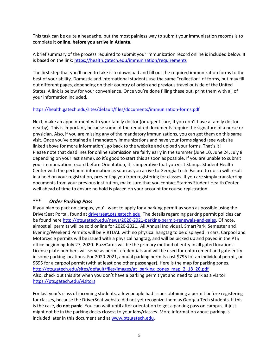This task can be quite a headache, but the most painless way to submit your immunization records is to complete it **online**, **before you arrive in Atlanta**.

A brief summary of the process required to submit your immunization record online is included below. It is based on the link:<https://health.gatech.edu/immunization/requirements>

The first step that you'll need to take is to download and fill out the required immunization forms to the best of your ability. Domestic and international students use the same "collection" of forms, but may fill out different pages, depending on their country of origin and previous travel outside of the United States. A link is below for your convenience. Once you're done filling these out, print them with all of your information included.

#### <https://health.gatech.edu/sites/default/files/documents/immunization-forms.pdf>

Next, make an appointment with your family doctor (or urgent care, if you don't have a family doctor nearby). This is important, because some of the required documents require the signature of a nurse or physician. Also, if you are missing any of the mandatory immunizations, you can get them on this same visit. Once you've obtained all mandatory immunizations and have your forms signed (see website linked above for more information), go back to the website and upload your forms. That's it! Please note that deadlines for online submission are fairly early in the summer (June 10, June 24, July 8 depending on your last name), so it's good to start this as soon as possible. If you are unable to submit your immunization record before Orientation, it is imperative that you visit Stamps Student Health Center with the pertinent information as soon as you arrive to Georgia Tech. Failure to do so will result in a hold on your registration, preventing you from registering for classes. If you are simply transferring documents from your previous institution, make sure that you contact Stamps Student Health Center well ahead of time to ensure no hold is placed on your account for course registration.

#### **\*\*\*** *Order Parking Pass*

If you plan to park on campus, you'll want to apply for a parking permit as soon as possible using the DriverSeat Portal, found at [driverseat.pts.gatech.edu.](https://driverseat.pts.gatech.edu/) The details regarding parking permit policies can be found here [http://pts.gatech.edu/news/2020-2021-parking-permit-renewals-and-sales.](http://pts.gatech.edu/news/2020-2021-parking-permit-renewals-and-sales) Of note, almost all permits will be sold online for 2020-2021. All Annual Individual, SmartPark, Semester and Evening/Weekend Permits will be VIRTUAL with no physical hangtag to be displayed in cars. Carpool and Motorcycle permits will be issued with a physical hangtag, and will be picked up and payed in the PTS office beginning July 27, 2020. BuzzCards will be the primary method of entry in all gated locations. License plate numbers will serve as permit credentials and will be used for enforcement and gate entry in some parking locations. For 2020-2021, annual parking permits cost \$795 for an individual permit, or \$695 for a carpool permit (with at least one other passenger). Here is the map for parking zones. [http://pts.gatech.edu/sites/default/files/images/gt\\_parking\\_zones\\_map\\_2\\_18\\_20.pdf](http://pts.gatech.edu/sites/default/files/images/gt_parking_zones_map_2_18_20.pdf) Also, check out this site when you don't have a parking permit yet and need to park as a visitor. <https://pts.gatech.edu/visitors>

For last year's class of incoming students, a few people had issues obtaining a permit before registering for classes, because the DriverSeat website did not yet recognize them as Georgia Tech students. If this is the case, **do not panic**. You can wait until after orientation to get a parking pass on campus, it just might not be in the parking decks closest to your labs/classes. More information about parking is included later in this document and a[t www.pts.gatech.edu.](http://www.pts.gatech.edu/)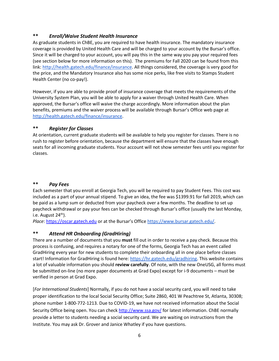#### **\*\*** *Enroll/Waive Student Health Insurance*

As graduate students in ChBE, you are required to have health insurance. The mandatory insurance coverage is provided by United Health Care and will be charged to your account by the Bursar's office. Since it will be charged to your account, you will pay this in the same way you pay your required fees (see section below for more information on this). The premiums for Fall 2020 can be found from this link: [http://health.gatech.edu/finance/insurance.](http://health.gatech.edu/finance/insurance) All things considered, the coverage is very good for the price, and the Mandatory Insurance also has some nice perks, like free visits to Stamps Student Health Center (no co-pay!).

However, if you are able to provide proof of insurance coverage that meets the requirements of the University System Plan, you will be able to apply for a waiver through United Health Care. When approved, the Bursar's office will waive the charge accordingly. More information about the plan benefits, premiums and the waiver process will be available through Bursar's Office web page at [http://health.gatech.edu/finance/insurance.](http://health.gatech.edu/finance/insurance)

#### **\*\*** *Register for Classes*

At orientation, current graduate students will be available to help you register for classes. There is no rush to register before orientation, because the department will ensure that the classes have enough seats for all incoming graduate students. Your account will not show semester fees until you register for classes.

#### **\*\*** *Pay Fees*

Each semester that you enroll at Georgia Tech, you will be required to pay Student Fees. This cost was included as a part of your annual stipend. To give an idea, the fee was \$1399.91 for fall 2019, which can be paid as a lump sum or deducted from your paycheck over a few months. The deadline to set up paycheck withdrawal or pay your fees can be checked through Bursar's office (usually the last Monday, i.e. August  $24<sup>th</sup>$ ).

*Place*: [https://oscar.gatech.edu](https://oscar.gatech.edu/) or at the Bursar's Office [https://www.bursar.gatech.edu/.](https://www.bursar.gatech.edu/)

#### **\*\*** *Attend HR Onboarding (GradHiring)*

There are a number of documents that you **must** fill out in order to receive a pay check. Because this process is confusing, and requires a notary for one of the forms, Georgia Tech has an event called GradHiring every year for new students to complete their onboarding all in one place before classes start! Information for GradHiring is found here[: https://hr.gatech.edu/gradhiring.](https://hr.gatech.edu/gradhiring) This website contains a lot of valuable information you should **review carefully**. Of note, with the new OneUSG, all forms must be submitted on-line (no more paper documents at Grad Expo) except for i-9 documents – must be verified in person at Grad Expo.

[*For International Students*] Normally, if you do not have a social security card, you will need to take proper identification to the local Social Security Office; Suite 2860, 401 W Peachtree St, Atlanta, 30308; phone number 1‐800‐772‐1213. Due to COVID-19, we have not received information about the Social Security Office being open. You can chec[k http://www.ssa.gov/](http://www.ssa.gov/) for latest information. ChBE normally provide a letter to students needing a social security card. We are waiting on instructions from the Institute. You may ask Dr. Grover and Janice Whatley if you have questions.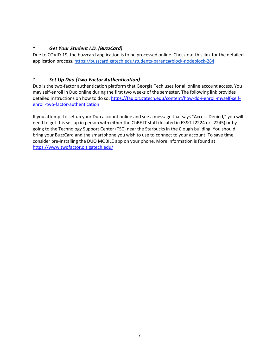#### **\*** *Get Your Student I.D. (BuzzCard)*

Due to COVID-19, the buzzcard application is to be processed online. Check out this link for the detailed application process[. https://buzzcard.gatech.edu/students-parents#block-nodeblock-284](https://buzzcard.gatech.edu/students-parents#block-nodeblock-284)

#### **\*** *Set Up Duo (Two-Factor Authentication)*

Duo is the two-factor authentication platform that Georgia Tech uses for all online account access. You may self-enroll in Duo online during the first two weeks of the semester. The following link provides detailed instructions on how to do so[: https://faq.oit.gatech.edu/content/how-do-i-enroll-myself-self](https://faq.oit.gatech.edu/content/how-do-i-enroll-myself-self-enroll-two-factor-authentication)[enroll-two-factor-authentication](https://faq.oit.gatech.edu/content/how-do-i-enroll-myself-self-enroll-two-factor-authentication)

If you attempt to set up your Duo account online and see a message that says "Access Denied," you will need to get this set-up in person with either the ChBE IT staff (located in ES&T L2224 or L2245) or by going to the Technology Support Center (TSC) near the Starbucks in the Clough building. You should bring your BuzzCard and the smartphone you wish to use to connect to your account. To save time, consider pre-installing the DUO MOBILE app on your phone. More information is found at: <https://www.twofactor.oit.gatech.edu/>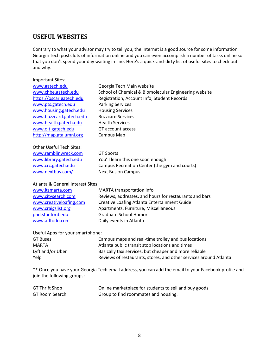## <span id="page-7-0"></span>**USEFUL WEBSITES**

Important Sites:

Contrary to what your advisor may try to tell you, the internet is a good source for some information. Georgia Tech posts lots of information online and you can even accomplish a number of tasks online so that you don't spend your day waiting in line. Here's a quick‐and‐dirty list of useful sites to check out and why.

| www.gatech.edu                  | Georgia Tech Main website                             |
|---------------------------------|-------------------------------------------------------|
| www.chbe.gatech.edu             | School of Chemical & Biomolecular Engineering website |
| https://oscar.gatech.edu        | Registration, Account Info, Student Records           |
| www.pts.gatech.edu              | <b>Parking Services</b>                               |
| www.housing.gatech.edu          | <b>Housing Services</b>                               |
| www.buzzcard.gatech.edu         | <b>Buzzcard Services</b>                              |
| www.health.gatech.edu           | <b>Health Services</b>                                |
| www.oit.gatech.edu              | GT account access                                     |
| http://map.gtalumni.org         | Campus Map                                            |
|                                 |                                                       |
| <b>Other Useful Tech Sites:</b> |                                                       |
| www.ramblinwreck.com            | <b>GT Sports</b>                                      |
| www.library.gatech.edu          | You'll learn this one soon enough                     |
| www.crc.gatech.edu              | Campus Recreation Center (the gym and courts)         |
| www.nextbus.com/                | Next Bus on Campus                                    |
|                                 |                                                       |

#### Atlanta & General Interest Sites:

| www.itsmarta.com        | MARTA transportation info                              |
|-------------------------|--------------------------------------------------------|
| www.citysearch.com      | Reviews, addresses, and hours for restaurants and bars |
| www.creativeloafing.com | Creative Loafing Atlanta Entertainment Guide           |
| www.craigslist.org      | Apartments, Furniture, Miscellaneous                   |
| phd.stanford.edu        | <b>Graduate School Humor</b>                           |
| www.atltodo.com         | Daily events in Atlanta                                |

#### Useful Apps for your smartphone:

| Campus maps and real-time trolley and bus locations               |
|-------------------------------------------------------------------|
| Atlanta public transit stop locations and times                   |
| Basically taxi services, but cheaper and more reliable            |
| Reviews of restaurants, stores, and other services around Atlanta |
|                                                                   |

\*\* Once you have your Georgia Tech email address, you can add the email to your Facebook profile and join the following groups:

| <b>GT Thrift Shop</b> | Online marketplace for students to sell and buy goods |
|-----------------------|-------------------------------------------------------|
| GT Room Search        | Group to find roommates and housing.                  |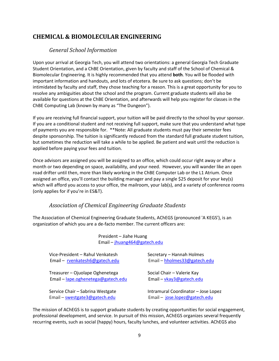## <span id="page-8-1"></span><span id="page-8-0"></span>**CHEMICAL & BIOMOLECULAR ENGINEERING**

#### *General School Information*

Upon your arrival at Georgia Tech, you will attend two orientations: a general Georgia Tech Graduate Student Orientation, and a ChBE Orientation, given by faculty and staff of the School of Chemical & Biomolecular Engineering. It is highly recommended that you attend **both**. You will be flooded with important information and handouts, and lots of etcetera. Be sure to ask questions; don't be intimidated by faculty and staff, they chose teaching for a reason. This is a great opportunity for you to resolve any ambiguities about the school and the program. Current graduate students will also be available for questions at the ChBE Orientation, and afterwards will help you register for classes in the ChBE Computing Lab (known by many as "The Dungeon").

If you are receiving full financial support, your tuition will be paid directly to the school by your sponsor. If you are a conditional student and not receiving full support, make sure that you understand what type of payments you are responsible for. \*\*Note: All graduate students must pay their semester fees despite sponsorship. The tuition is significantly reduced from the standard full graduate student tuition, but sometimes the reduction will take a while to be applied. Be patient and wait until the reduction is applied before paying your fees and tuition.

Once advisors are assigned you will be assigned to an office, which could occur right away or after a month or two depending on space, availability, and your need. However, you will wander like an open road drifter until then, more than likely working in the ChBE Computer Lab or the L1 Atrium. Once assigned an office, you'll contact the building manager and pay a single \$25 deposit for your key(s) which will afford you access to your office, the mailroom, your lab(s), and a variety of conference rooms (only applies for if you're in ES&T).

#### *Association of Chemical Engineering Graduate Students*

<span id="page-8-2"></span>The Association of Chemical Engineering Graduate Students, AChEGS (pronounced 'A KEGS'), is an organization of which you are a de‐facto member. The current officers are:

President – Jiahe Huang Email – [jhuang464@gatech.edu](mailto:jhuang464@gatech.edu)  Vice-President – Rahul Venkatesh Secretary – Hannah Holmes Email – [rvenkatesh6@gatech.edu](mailto:rvenkatesh6@gatech.edu) Email – [hholmes33@gatech.edu](mailto:hholmes33@gatech.edu) Treasurer – Ojuolape Oghenetega Social Chair – Valerie Kay Email – [lape.oghenetega@gatech.edu](mailto:lape.oghenetega@gatech.edu) Email – [vkay3@gatech.edu](mailto:vkay3@gatech.edu)  Service Chair – Sabrina Westgate Intramural Coordinator – Jose Lopez Email – [swestgate3@gatech.edu](mailto:swestgate3@gatech.edu) Email – jose.lope[z@gatech.edu](mailto:jmlopez13@gatech.edu)

The mission of AChEGS is to support graduate students by creating opportunities for social engagement, professional development, and service. In pursuit of this mission, AChEGS organizes several frequently recurring events, such as social (happy) hours, faculty lunches, and volunteer activities. AChEGS also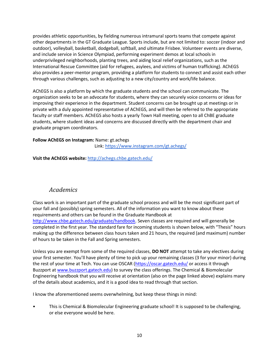provides athletic opportunities, by fielding numerous intramural sports teams that compete against other departments in the GT Graduate League. Sports include, but are not limited to: soccer (indoor and outdoor), volleyball, basketball, dodgeball, softball, and ultimate Frisbee. Volunteer events are diverse, and include service in Science Olympiad, performing experiment demos at local schools in underprivileged neighborhoods, planting trees, and aiding local relief organizations, such as the International Rescue Committee (aid for refugees, asylees, and victims of human trafficking). AChEGS also provides a peer-mentor program, providing a platform for students to connect and assist each other through various challenges, such as adjusting to a new city/country and work/life balance.

AChEGS is also a platform by which the graduate students and the school can communicate. The organization seeks to be an advocate for students, where they can securely voice concerns or ideas for improving their experience in the department. Student concerns can be brought up at meetings or in private with a duly appointed representative of AChEGS, and will then be referred to the appropriate faculty or staff members. AChEGS also hosts a yearly Town Hall meeting, open to all ChBE graduate students, where student ideas and concerns are discussed directly with the department chair and graduate program coordinators.

#### **Follow AChEGS on Instagram:** Name: gt.achegs

Link[: https://www.instagram.com/gt.achegs/](https://www.instagram.com/gt.achegs/)

**Visit the AChEGS website:** <http://achegs.chbe.gatech.edu/>

#### *Academics*

Class work is an important part of the graduate school process and will be the most significant part of your fall and (possibly) spring semesters. All of the information you want to know about these requirements and others can be found in the Graduate Handbook at [http://www.chbe.gatech.edu/graduate/handbook.](http://www.chbe.gatech.edu/graduate/handbook) Seven classes are required and will generally be completed in the first year. The standard fare for incoming students is shown below, with "Thesis" hours making up the difference between class hours taken and 21 hours, the required (and maximum) number of hours to be taken in the Fall and Spring semesters.

Unless you are exempt from some of the required classes, **DO NOT** attempt to take any electives during your first semester. You'll have plenty of time to pick up your remaining classes (3 for your minor) during the rest of your time at Tech. You can use OSCAR [\(https://oscar.gatech.edu/](https://oscar.gatech.edu/) or access it through Buzzport a[t www.buzzport.gatech.edu\)](http://www.buzzport.gatech.edu/) to survey the class offerings. The Chemical & Biomolecular Engineering handbook that you will receive at orientation (also on the page linked above) explains many of the details about academics, and it is a good idea to read through that section.

I know the aforementioned seems overwhelming, but keep these things in mind:

• This is Chemical & Biomolecular Engineering graduate school! It is supposed to be challenging, or else everyone would be here.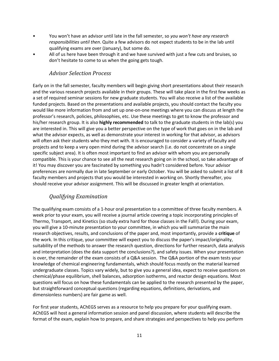- You won't have an advisor until late in the fall semester, so *you won't have any research responsibilities until then*. Quite a few advisors do not expect students to be in the lab until qualifying exams are over (January), but some do.
- All of us here have been through it and we have survived with just a few cuts and bruises, so don't hesitate to come to us when the going gets tough.

#### *Advisor Selection Process*

<span id="page-10-0"></span>Early on in the fall semester, faculty members will begin giving short presentations about their research and the various research projects available in their groups. These will take place in the first few weeks as a set of required seminar sessions for new graduate students. You will also receive a list of the available funded projects. Based on the presentations and available projects, you should contact the faculty you would like more information from and set up one-on-one meetings where you can discuss at length the professor's research, policies, philosophies, etc. Use these meetings to get to know the professor and his/her research group. It is also **highly recommended** to talk to the graduate students in the lab(s) you are interested in. This will give you a better perspective on the type of work that goes on in the lab and what the advisor expects, as well as demonstrate your interest in working for that advisor, as advisors will often ask their students who they met with. It is encouraged to consider a variety of faculty and projects and to keep a very open mind during the advisor search (i.e. do not concentrate on a single specific subject area). It is often most important to find an advisor with whom you are personally compatible. This is your chance to see all the neat research going on in the school, so take advantage of it! You may discover you are fascinated by something you hadn't considered before. Your advisor preferences are normally due in late September or early October. You will be asked to submit a list of 8 faculty members and projects that you would be interested in working on. Shortly thereafter, you should receive your advisor assignment. This will be discussed in greater length at orientation.

## *Qualifying Examination*

<span id="page-10-1"></span>The qualifying exam consists of a 1-hour oral presentation to a committee of three faculty members. A week prior to your exam, you will receive a journal article covering a topic incorporating principles of Thermo, Transport, and Kinetics (so study extra hard for those classes in the Fall!). During your exam, you will give a 10-minute presentation to your committee, in which you will summarize the main research objectives, results, and conclusions of the paper and, most importantly, provide a **critique** of the work. In this critique, your committee will expect you to discuss the paper's impact/originality, suitability of the methods to answer the research question, directions for further research, data analysis and interpretation (does the data support the conclusions?), and safety issues. When your presentation is over, the remainder of the exam consists of a Q&A session. The Q&A portion of the exam tests your knowledge of chemical engineering fundamentals, which should focus mostly on the material learned undergraduate classes. Topics vary widely, but to give you a general idea, expect to receive questions on chemical/phase equilibrium, shell balances, adsorption isotherms, and reactor design equations. Most questions will focus on how these fundamentals can be applied to the research presented by the paper, but straightforward conceptual questions (regarding equations, definitions, derivations, and dimensionless numbers) are fair game as well.

For first year students, AChEGS serves as a resource to help you prepare for your qualifying exam. AChEGS will host a general information session and panel discussion, where students will describe the format of the exam, explain how to prepare, and share strategies and perspectives to help you perform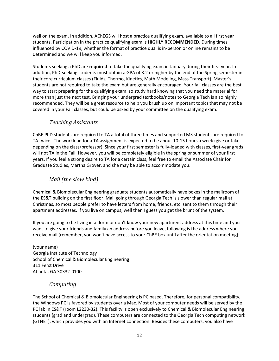well on the exam. In addition, AChEGS will host a practice qualifying exam, available to all first year students. Participation in the practice qualifying exam is **HIGHLY RECOMMENDED**. During times influenced by COVID-19, whether the format of practice qual is in-person or online remains to be determined and we will keep you informed.

Students seeking a PhD are **required** to take the qualifying exam in January during their first year. In addition, PhD-seeking students must obtain a GPA of 3.2 or higher by the end of the Spring semester in their core curriculum classes (Fluids, Thermo, Kinetics, Math Modeling, Mass Transport). Master's students are not required to take the exam but are generally encouraged. Your fall classes are the best way to start preparing for the qualifying exam, so study hard knowing that you need the material for more than just the next test. Bringing your undergrad textbooks/notes to Georgia Tech is also highly recommended. They will be a great resource to help you brush up on important topics that may not be covered in your Fall classes, but could be asked by your committee on the qualifying exam.

## *Teaching Assistants*

<span id="page-11-0"></span>ChBE PhD students are required to TA a total of three times and supported MS students are required to TA twice. The workload for a TA assignment is expected to be about 10-15 hours a week (give or take, depending on the class/professor). Since your first semester is fully-loaded with classes, first‐year grads will not TA in the Fall. However, you will be completely eligible in the spring or summer of your first years. If you feel a strong desire to TA for a certain class, feel free to email the Associate Chair for Graduate Studies, Martha Grover, and she may be able to accommodate you.

## *Mail (the slow kind)*

<span id="page-11-1"></span>Chemical & Biomolecular Engineering graduate students automatically have boxes in the mailroom of the ES&T building on the first floor. Mail going through Georgia Tech is slower than regular mail at Christmas, so most people prefer to have letters from home, friends, etc. sent to them through their apartment addresses. If you live on campus, well then I guess you get the brunt of the system.

If you are going to be living in a dorm or don't know your new apartment address at this time and you want to give your friends and family an address before you leave, following is the address where you receive mail (remember, you won't have access to your ChBE box until after the orientation meeting):

(your name) Georgia Institute of Technology School of Chemical & Biomolecular Engineering 311 Ferst Drive Atlanta, GA 30332‐0100

## *Computing*

<span id="page-11-2"></span>The School of Chemical & Biomolecular Engineering is PC based. Therefore, for personal compatibility, the Windows PC is favored by students over a Mac. Most of your computer needs will be served by the PC lab in ES&T (room L2230‐32). This facility is open exclusively to Chemical & Biomolecular Engineering students (grad and undergrad). These computers are connected to the Georgia Tech computing network (GTNET), which provides you with an Internet connection. Besides these computers, you also have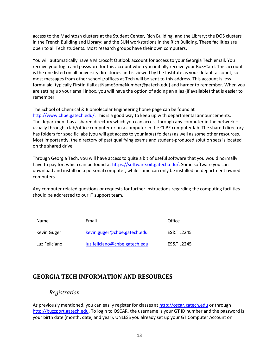access to the Macintosh clusters at the Student Center, Rich Building, and the Library; the DOS clusters in the French Building and Library; and the SUN workstations in the Rich Building. These facilities are open to all Tech students. Most research groups have their own computers.

You will automatically have a Microsoft Outlook account for access to your Georgia Tech email. You receive your login and password for this account when you initially receive your BuzzCard. This account is the one listed on all university directories and is viewed by the Institute as your default account, so most messages from other schools/offices at Tech will be sent to this address. This account is less formulaic (typically FirstInitialLastNameSomeNumber@gatech.edu) and harder to remember. When you are setting up your email inbox, you will have the option of adding an alias (if available) that is easier to remember.

The School of Chemical & Biomolecular Engineering home page can be found at [http://www.chbe.gatech.edu/.](http://www.chbe.gatech.edu/) This is a good way to keep up with departmental announcements. The department has a shared directory which you can access through any computer in the network – usually through a lab/office computer or on a computer in the ChBE computer lab. The shared directory has folders for specific labs (you will get access to your lab(s) folders) as well as some other resources. Most importantly, the directory of past qualifying exams and student-produced solution sets is located on the shared drive.

Through Georgia Tech, you will have access to quite a bit of useful software that you would normally have to pay for, which can be found at [https://software.oit.gatech.edu/.](https://software.oit.gatech.edu/) Some software you can download and install on a personal computer, while some can only be installed on department owned computers.

Any computer related questions or requests for further instructions regarding the computing facilities should be addressed to our IT support team.

| Name          | Email                         | Office                |
|---------------|-------------------------------|-----------------------|
| Kevin Guger   | kevin.guger@chbe.gatech.edu   | <b>ES&amp;T 12245</b> |
| Luz Feliciano | luz.feliciano@chbe.gatech.edu | ES&T 12245            |

## <span id="page-12-0"></span>**GEORGIA TECH INFORMATION AND RESOURCES**

#### *Registration*

<span id="page-12-1"></span>As previously mentioned, you can easily register for classes a[t http://oscar.gatech.edu](http://oscar.gatech.edu/) or through [http://buzzport.gatech.edu.](http://buzzport.gatech.edu/) To login to OSCAR, the username is your GT ID number and the password is your birth date (month, date, and year), UNLESS you already set up your GT Computer Account on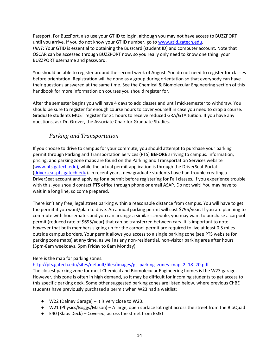Passport. For BuzzPort, also use your GT ID to login, although you may not have access to BUZZPORT until you arrive. If you do not know your GT ID number, go to [www.gtid.gatech.edu.](http://www.gtid.gatech.edu/) *HINT*: Your GTID is essential to obtaining the Buzzcard (student ID) and computer account. Note that OSCAR can be accessed through BUZZPORT now, so you really only need to know one thing: your BUZZPORT username and password.

You should be able to register around the second week of August. You do not need to register for classes before orientation. Registration will be done as a group during orientation so that everybody can have their questions answered at the same time. See the Chemical & Biomolecular Engineering section of this handbook for more information on courses you should register for.

After the semester begins you will have 4 days to add classes and until mid-semester to withdraw. You should be sure to register for enough course hours to cover yourself in case you need to drop a course. Graduate students MUST register for 21 hours to receive reduced GRA/GTA tuition. If you have any questions, ask Dr. Grover, the Associate Chair for Graduate Studies.

#### *Parking and Transportation*

<span id="page-13-0"></span>If you choose to drive to campus for your commute, you should attempt to purchase your parking permit through Parking and Transportation Services (PTS) **BEFORE** arriving to campus. Information, pricing, and parking zone maps are found on the Parking and Transportation Services website [\(www.pts.gatech.edu\)](http://www.pts.gatech.edu/), while the actual permit application is through the DriverSeat Portal [\(driverseat.pts.gatech.edu\)](https://driverseat.pts.gatech.edu/). In recent years, new graduate students have had trouble creating a DriverSeat account and applying for a permit before registering for Fall classes. If you experience trouble with this, you should contact PTS office through phone or email ASAP. Do not wait! You may have to wait in a long line, so come prepared.

There isn't any free, legal street parking within a reasonable distance from campus. You will have to get the permit if you want/plan to drive. An annual parking permit will cost \$795/year. If you are planning to commute with housemates and you can arrange a similar schedule, you may want to purchase a carpool permit (reduced rate of \$695/year) that can be transferred between cars. It is important to note however that both members signing up for the carpool permit are required to live at least 0.5 miles outside campus borders. Your permit allows you access to a single parking zone (see PTS website for parking zone maps) at any time, as well as any non-residential, non-visitor parking area after hours (5pm-8am weekdays, 5pm Friday to 8am Monday).

#### Here is the map for parking zones.

[http://pts.gatech.edu/sites/default/files/images/gt\\_parking\\_zones\\_map\\_2\\_18\\_20.pdf](http://pts.gatech.edu/sites/default/files/images/gt_parking_zones_map_2_18_20.pdf)

The closest parking zone for most Chemical and Biomolecular Engineering homes is the W23 garage. However, this zone is often in high demand, so it may be difficult for incoming students to get access to this specific parking deck. Some other suggested parking zones are listed below, where previous ChBE students have previously purchased a permit when W23 had a waitlist:

- W22 (Dalney Garage) It is very close to W23.
- W21 (Physics/Boggs/Mason) A large, open surface lot right across the street from the BioQuad
- E40 (Klaus Deck) Covered, across the street from ES&T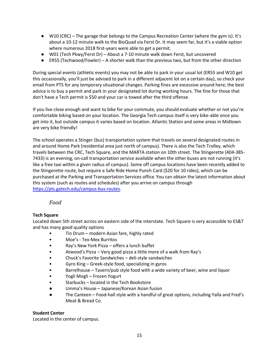- W10 (CRC) The garage that belongs to the Campus Recreation Center (where the gym is). It's about a 10-12 minute walk to the BioQuad via Ferst Dr. It may seem far, but it's a viable option where numerous 2018 first-years were able to get a permit.
- W01 (Tech Pkwy/Ferst Dr) About a 7-10 minute walk down Ferst, but uncovered
- $\bullet$  ER55 (Techwood/Fowler) A shorter walk than the previous two, but from the other direction

During special events (athletic events) you may not be able to park in your usual lot (ER55 and W10 get this occasionally, you'll just be advised to park in a different adjacent lot on a certain day), so check your email from PTS for any temporary situational changes. Parking fines are excessive around here; the best advice is to buy a permit and park in your designated lot during working hours. The fine for those that don't have a Tech permit is \$50 and your car is towed after the third offense.

If you live close enough and want to bike for your commute, you should evaluate whether or not you're comfortable biking based on your location. The Georgia Tech campus itself is very bike-able once you get into it, but outside campus it varies based on location. Atlantic Station and some areas in Midtown are very bike friendly!

The school operates a Stinger (bus) transportation system that travels on several designated routes in and around Home Park (residential area just north of campus). There is also the Tech Trolley, which travels between the CRC, Tech Square, and the MARTA station on 10th street. The Stingerette (404-385- 7433) is an evening, on-call transportation service available when the other buses are not running (it's like a free taxi within a given radius of campus). Some off campus locations have been recently added to the Stingerette route, but require a Safe Ride Home Punch Card (\$20 for 10 rides), which can be purchased at the Parking and Transportation Services office. You can obtain the latest information about this system (such as routes and schedules) after you arrive on campus through [https://pts.gatech.edu/campus-bus-routes.](https://pts.gatech.edu/campus-bus-routes)

#### *Food*

#### <span id="page-14-0"></span>**Tech Square**

Located down 5th street across on eastern side of the interstate. Tech Square is very accessible to ES&T and has many good quality options

- Tin Drum modern Asian fare, highly rated
- Moe's Tex-Mex Burritos
- Ray's New York Pizza offers a lunch buffet
- Atwood's Pizza Very good pizza a little more of a walk from Ray's
- Chuck's Favorite Sandwiches deli-style sandwiches
- Gyro King Greek-style food, specializing in gyros
- Barrelhouse Tavern/pub style food with a wide variety of beer, wine and liquor
- Yogli Mogli Frozen Yogurt
- Starbucks located in the Tech Bookstore
- Umma's House Japanese/Korean Asian fusion
- The Canteen Food-hall style with a handful of great options, including Yalla and Fred's Meat & Bread Co.

#### **Student Center**

Located in the center of campus.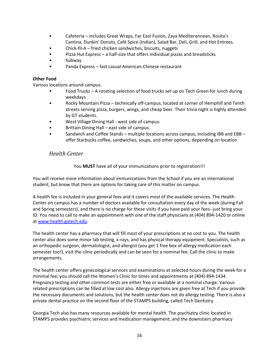- Cafeteria includes Great Wraps, Far East Fusion, Zaya Mediterannean, Rosita's Cantina, Dunkin' Donuts, Café Spice (Indian), Salad Bar, Deli, Grill, and Hot Entrees.
- Chick-fil-A fried chicken sandwiches, biscuits, nuggets
- Pizza Hut Express a half‐size that offers individual pizzas and breadsticks
- Subway
- Panda Express fast casual American-Chinese restaurant

#### **Other Food**

Various locations around campus.

- Food Trucks A rotating selection of food trucks set up on Tech Green for lunch during weekdays
- Rocky Mountain Pizza technically off‐campus, located at corner of Hemphill and Tenth streets serving pizza, burgers, wings, and cheap beer. Their trivia night is highly attended by GT students.
- West Village Dining Hall ‐ west side of campus.
- Brittain Dining Hall east side of campus.
- Sandwich and Coffee Stands multiple locations across campus, including IBB and EBB offer Starbucks coffee, sandwiches, soups, and other options, depending on location

## <span id="page-15-0"></span>*Health Center*

You **MUST** have all of your immunizations prior to registration!!!

You will receive more information about immunizations from the School if you are an international student, but know that there are options for taking care of this matter on campus.

A health fee is included in your general fees and it covers most of the available services. The Health Center on campus has a number of doctors available for consultation every day of the week (during Fall and Spring semesters), and there is no charge for these visits if you have paid your fees‐‐just bring your ID. You need to call to make an appointment with one of the staff physicians at (404) 894‐1420 or online a[t www.health.gatech.edu.](http://www.health.gatech.edu/)

The health center has a pharmacy that will fill most of your prescriptions at no cost to you. The health center also does some minor lab testing, x-rays, and has physical therapy equipment. Specialists, such as an orthopedic surgeon, dermatologist, and allergist (you get 1 free box of allergy medication each semester too!), visit the clinic periodically and can be seen for a nominal fee. Call the clinic to make arrangements.

The health center offers gynecological services and examinations at selected hours during the week for a minimal fee; you should call the Women's Clinic for times and appointments at (404) 894‐1434. Pregnancy testing and other common tests are either free or available at a nominal charge. Various related prescriptions can be filled at low cost also. Allergy injections are given free at Tech if you provide the necessary documents and solutions, but the health center does not do allergy testing. There is also a private dental practice on the second floor of the STAMPS building, called Tech Dentistry.

Georgia Tech also has many resources available for mental health. The psychiatry clinic located in STAMPS provides psychiatric services and medication management, and the downstairs pharmacy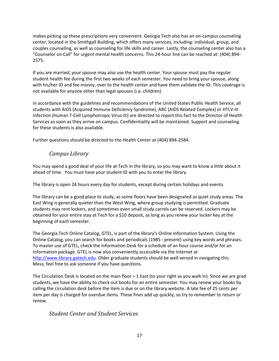makes picking up these prescriptions very convenient. Georgia Tech also has an on-campus counseling center, located in the Smithgall Building, which offers many services, including: individual, group, and couples counseling, as well as counseling for life skills and career. Lastly, the counseling center also has a "Counselor on Call" for urgent mental health concerns. This 24-hour line can be reached at: (404) 894- 2575.

If you are married, your spouse may also use the health center. Your spouse must pay the regular student health fee during the first two weeks of each semester. You need to bring your spouse, along with his/her ID and fee money, over to the health center and have them validate the ID. This coverage is not available for anyone other than legal spouses (i.e. children).

In accordance with the guidelines and recommendations of the United States Public Health Service, all students with AIDS (Acquired Immune Deficiency Syndrome), ARC (AIDS Related Complex) or HTLV‐III infection (Human T‐Cell Lymphotropic Virus‐III) are directed to report this fact to the Director of Health Services as soon as they arrive on campus. Confidentiality will be maintained. Support and counseling for these students is also available.

<span id="page-16-0"></span>Further questions should be directed to the Health Center at (404) 894‐2584.

#### *Campus Library*

You may spend a good deal of your life at Tech in the library, so you may want to know a little about it ahead of time. You must have your student ID with you to enter the library.

The library is open 24 hours every day for students, except during certain holidays and events.

The library can be a good place to study, as some floors have been designated as quiet study areas. The East Wing is generally quieter than the West Wing, where group studying is permitted. Graduate students may rent lockers, and sometimes even small study carrels can be reserved. Lockers may be obtained for your entire stay at Tech for a \$10 deposit, as long as you renew your locker key at the beginning of each semester.

The Georgia Tech Online Catalog, GTEL, is part of the library's Online Information System. Using the Online Catalog, you can search for books and periodicals (1985 ‐ present) using key words and phrases. To master use of GTEL, check the Information Desk for a schedule of an hour course and/or for an information package. GTEL is now also conveniently accessible via the Internet at [http://www.library.gatech.edu.](http://www.library.gatech.edu/) Older graduate students should be well versed in navigating this Mess; feel free to ask someone if you have questions.

The Circulation Desk is located on the main floor  $-1$  East (to your right as you walk in). Since we are grad students, we have the ability to check out books for an entire semester. You may renew your books by calling the circulation desk before the item is due or on the library website. A late fee of 25 cents per item per day is charged for overdue items. These fines add up quickly, so try to remember to return or renew.

#### <span id="page-16-1"></span>*Student Center and Student Services*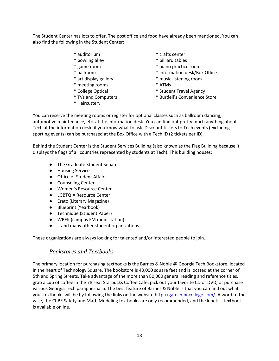The Student Center has lots to offer. The post office and food have already been mentioned. You can also find the following in the Student Center:

- 
- 
- 
- 
- 
- \* meeting rooms \* ATMs
- 
- 
- \* Haircuttery
- \* auditorium \* crafts center
- \* bowling alley \* billiard tables
- \* game room \* piano practice room
- \* ballroom \* information desk/Box Office
- \* art display gallery \* music listening room
	-
- \* College Optical \* Student Travel Agency
- \* TVs and Computers \* Burdell's Convenience Store

You can reserve the meeting rooms or register for optional classes such as ballroom dancing, automotive maintenance, etc. at the information desk. You can find out pretty much anything about Tech at the information desk, if you know what to ask. Discount tickets to Tech events (excluding sporting events) can be purchased at the Box Office with a Tech ID (2 tickets per ID).

Behind the Student Center is the Student Services Building (also known as the Flag Building because it displays the flags of all countries represented by students at Tech). This building houses:

- The Graduate Student Senate
- Housing Services
- Office of Student Affairs
- Counseling Center
- Women's Resource Center
- LGBTQIA Resource Center
- Erato (Literary Magazine)
- Blueprint (Yearbook)
- Technique (Student Paper)
- WREK (campus FM radio station)
- ...and many other student organizations

<span id="page-17-0"></span>These organizations are always looking for talented and/or interested people to join.

#### *Bookstores and Textbooks*

The primary location for purchasing textbooks is the Barnes & Noble @ Georgia Tech Bookstore, located in the heart of Technology Square. The bookstore is 43,000 square feet and is located at the corner of 5th and Spring Streets. Take advantage of the more than 80,000 general reading and reference titles, grab a cup of coffee in the 78 seat Starbucks Coffee Café, pick out your favorite CD or DVD, or purchase various Georgia Tech paraphernalia. The best feature of Barnes & Noble is that you can find out what your textbooks will be by following the links on the websit[e http://gatech.bncollege.com/.](http://gatech.bncollege.com/) A word to the wise, the ChBE Safety and Math Modeling textbooks are only recommended, and the kinetics textbook is available online.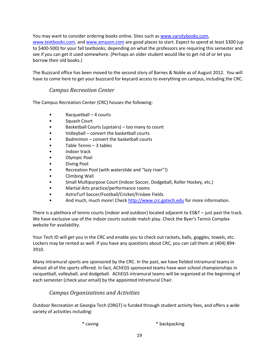You may want to consider ordering books online. Sites such as [www.varsitybooks.com,](http://www.varsitybooks.com/) [www.textbooks.com,](http://www.textbooks.com/) and [www.amazon.com](http://www.amazon.com/) are good places to start. Expect to spend at least \$300 (up to \$400‐500) for your fall textbooks; depending on what the professors are requiring this semester and see if you can get it used somewhere. (Perhaps an older student would like to get rid of or let you borrow their old books.)

The Buzzcard office has been moved to the second story of Barnes & Noble as of August 2012. You will have to come here to get your buzzcard for keycard access to everything on campus, including the CRC.

#### *Campus Recreation Center*

<span id="page-18-0"></span>The Campus Recreation Center (CRC) houses the following:

- Racquetball 4 courts
- Squash Court
- Basketball Courts (upstairs) too many to count
- Volleyball convert the basketball courts
- Badminton convert the basketball courts
- Table Tennis 3 tables
- Indoor track
- Olympic Pool
- Diving Pool
- Recreation Pool (with waterslide and "lazy river"!)
- Climbing Wall
- Small Multipurpose Court (Indoor Soccer, Dodgeball, Roller Hockey, etc.)
- Martial Arts practice/performance rooms
- AstroTurf Soccer/Football/Cricket/Frisbee Fields
- And much, much more! Check [http://www.crc.gatech.edu](http://www.crc.gatech.edu/) for more information.

There is a plethora of tennis courts (indoor and outdoor) located adjacent to ES&T – just past the track. We have exclusive use of the indoor courts outside match play. Check the Byer's Tennis Complex website for availability.

Your Tech ID will get you in the CRC and enable you to check out rackets, balls, goggles, towels, etc. Lockers may be rented as well. If you have any questions about CRC, you can call them at (404) 894‐ 3910.

Many intramural sports are sponsored by the CRC. In the past, we have fielded intramural teams in almost all of the sports offered. In fact, AChEGS sponsored teams have won school championships in racquetball, volleyball, and dodgeball. AChEGS intramural teams will be organized at the beginning of each semester (check your email) by the appointed Intramural Chair.

## *Campus Organizations and Activities*

<span id="page-18-1"></span>Outdoor Recreation at Georgia Tech (ORGT) is funded through student activity fees, and offers a wide variety of activities including:

\* caving \* backpacking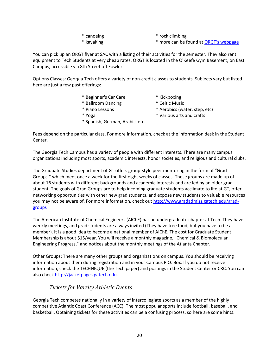- 
- \* canoeing  $*$  rock climbing
	-

\* kayaking \* more can be found a[t ORGT's webpage](http://www.crc.gatech.edu/orgt/content/131/instructional-programs)

You can pick up an ORGT flyer at SAC with a listing of their activities for the semester. They also rent equipment to Tech Students at very cheap rates. ORGT is located in the O'Keefe Gym Basement, on East Campus, accessible via 8th Street off Fowler.

Options Classes: Georgia Tech offers a variety of non‐credit classes to students. Subjects vary but listed here are just a few past offerings:

- \* Beginner's Car Care \* Kickboxing
- \* Ballroom Dancing \* Celtic Music
	-
	-

\* Spanish, German, Arabic, etc.

- 
- \* Piano Lessons \* Aerobics (water, step, etc)
- 
- \* Yoga \* Various arts and crafts

Fees depend on the particular class. For more information, check at the information desk in the Student Center.

The Georgia Tech Campus has a variety of people with different interests. There are many campus organizations including most sports, academic interests, honor societies, and religious and cultural clubs.

The Graduate Studies department of GT offers group-style peer mentoring in the form of "Grad Groups," which meet once a week for the first eight weeks of classes. These groups are made up of about 16 students with different backgrounds and academic interests and are led by an older grad student. The goals of Grad Groups are to help incoming graduate students acclimate to life at GT, offer networking opportunities with other new grad students, and expose new students to valuable resources you may not be aware of. For more information, check out [http://www.gradadmiss.gatech.edu/grad](http://www.gradadmiss.gatech.edu/grad-groups)[groups](http://www.gradadmiss.gatech.edu/grad-groups)

The American Institute of Chemical Engineers (AIChE) has an undergraduate chapter at Tech. They have weekly meetings, and grad students are always invited (They have free food, but you have to be a member). It is a good idea to become a national member of AIChE. The cost for Graduate Student Membership is about \$15/year. You will receive a monthly magazine, "Chemical & Biomolecular Engineering Progress," and notices about the monthly meetings of the Atlanta Chapter.

Other Groups: There are many other groups and organizations on campus. You should be receiving information about them during registration and in your Campus P.O. Box. If you do not receive information, check the TECHNIQUE (the Tech paper) and postings in the Student Center or CRC. You can also chec[k http://jacketpages.gatech.edu.](http://jacketpages.gatech.edu/)

## *Tickets for Varsity Athletic Events*

<span id="page-19-0"></span>Georgia Tech competes nationally in a variety of intercollegiate sports as a member of the highly competitive Atlantic Coast Conference (ACC). The most popular sports include football, baseball, and basketball. Obtaining tickets for these activities can be a confusing process, so here are some hints.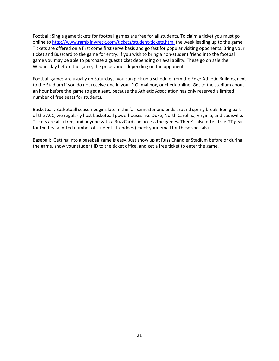Football: Single game tickets for football games are free for all students. To claim a ticket you must go online to<http://www.ramblinwreck.com/tickets/student-tickets.html> the week leading up to the game. Tickets are offered on a first come first serve basis and go fast for popular visiting opponents. Bring your ticket and Buzzcard to the game for entry. If you wish to bring a non-student friend into the football game you may be able to purchase a guest ticket depending on availability. These go on sale the Wednesday before the game, the price varies depending on the opponent.

Football games are usually on Saturdays; you can pick up a schedule from the Edge Athletic Building next to the Stadium if you do not receive one in your P.O. mailbox, or check online. Get to the stadium about an hour before the game to get a seat, because the Athletic Association has only reserved a limited number of free seats for students.

Basketball: Basketball season begins late in the fall semester and ends around spring break. Being part of the ACC, we regularly host basketball powerhouses like Duke, North Carolina, Virginia, and Louisville. Tickets are also free, and anyone with a BuzzCard can access the games. There's also often free GT gear for the first allotted number of student attendees (check your email for these specials).

Baseball: Getting into a baseball game is easy. Just show up at Russ Chandler Stadium before or during the game, show your student ID to the ticket office, and get a free ticket to enter the game.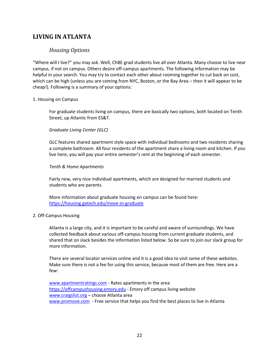## <span id="page-21-1"></span><span id="page-21-0"></span>**LIVING IN ATLANTA**

#### *Housing Options*

"Where will I live?" you may ask. Well, ChBE grad students live all over Atlanta. Many choose to live near campus, if not on campus. Others desire off-campus apartments. The following information may be helpful in your search. You may try to contact each other about rooming together to cut back on cost, which can be high (unless you are coming from NYC, Boston, or the Bay Area – then it will appear to be cheap!). Following is a summary of your options:

#### 1. Housing on Campus

For graduate students living on campus, there are basically two options, both located on Tenth Street, up Atlantic from ES&T.

#### *Graduate Living Center (GLC)*

GLC features shared apartment style space with individual bedrooms and two residents sharing a complete bathroom. All four residents of the apartment share a living room and kitchen. If you live here, you will pay your entire semester's rent at the beginning of each semester.

#### *Tenth & Home Apartments*

Fairly new, very nice individual apartments, which are designed for married students and students who are parents.

More information about graduate housing on campus can be found here: <https://housing.gatech.edu/move-in-graduate>

#### 2. Off‐Campus Housing

Atlanta is a large city, and it is important to be careful and aware of surroundings. We have collected feedback about various off-campus housing from current graduate students, and shared that on slack besides the information listed below. So be sure to join our slack group for more information.

There are several locator services online and it is a good idea to visit some of these websites. Make sure there is not a fee for using this service, because most of them are free. Here are a few:

[www.apartmentratings.com](http://www.apartmentratings.com/) - Rates apartments in the area [https://offcampushousing.emory.edu](https://offcampushousing.emory.edu/) ‐ Emory off campus living website [www.craigslist.org](http://www.craigslist.org/) – choose Atlanta area [www.promove.com](http://www.promove.com/) - Free service that helps you find the best places to live in Atlanta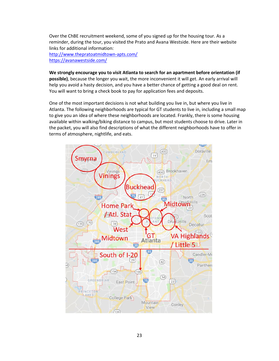Over the ChBE recruitment weekend, some of you signed up for the housing tour. As a reminder, during the tour, you visited the Prato and Avana Westside. Here are their website links for additional information: <http://www.thepratoatmidtown-apts.com/> [https://avanawestside.com/](https://avanawestside.com/?utm_source=GoogleLocalListing&utm_medium=organic)

**We strongly encourage you to visit Atlanta to search for an apartment before orientation (if possible)**, because the longer you wait, the more inconvenient it will get. An early arrival will help you avoid a hasty decision, and you have a better chance of getting a good deal on rent. You will want to bring a check book to pay for application fees and deposits.

One of the most important decisions is not what building you live in, but where you live in Atlanta. The following neighborhoods are typical for GT students to live in, including a small map to give you an idea of where these neighborhoods are located. Frankly, there is some housing available within walking/biking distance to campus, but most students choose to drive. Later in the packet, you will also find descriptions of what the different neighborhoods have to offer in terms of atmosphere, nightlife, and eats.

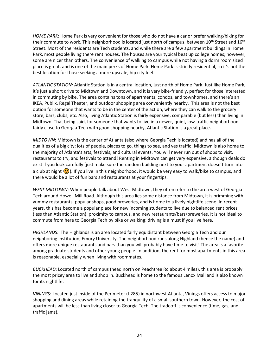*HOME PARK*: Home Park is very convenient for those who do not have a car or prefer walking/biking for their commute to work. This neighborhood is located just north of campus, between  $10^{th}$  Street and  $16^{th}$ Street. Most of the residents are Tech students, and while there are a few apartment buildings in Home Park, most people living there rent houses. The houses are your typical beat up college homes; however, some are nicer than others. The convenience of walking to campus while not having a dorm room sized place is great, and is one of the main perks of Home Park. Home Park is strictly residential, so it's not the best location for those seeking a more upscale, hip city feel.

*ATLANTIC STATION:* Atlantic Station is in a central location, just north of Home Park. Just like Home Park, it's just a short drive to Midtown and Downtown, and it is very bike-friendly, perfect for those interested in commuting by bike. The area contains tons of apartments, condos, and townhomes, and there's an IKEA, Publix, Regal Theater, and outdoor shopping area conveniently nearby. This area is not the best option for someone that wants to be in the center of the action, where they can walk to the grocery store, bars, clubs, etc. Also, living Atlantic Station is fairly expensive, comparable (but less) than living in Midtown. That being said, for someone that wants to live in a newer, quiet, low-traffic neighborhood fairly close to Georgia Tech with good shopping nearby, Atlantic Station is a great place.

*MIDTOWN*: Midtown is the center of Atlanta (also where Georgia Tech is located) and has all of the qualities of a big city: lots of people, places to go, things to see, and yes traffic! Midtown is also home to the majority of Atlanta's arts, festivals, and cultural events. You will never run out of shops to visit, restaurants to try, and festivals to attend! Renting in Midtown can get very expensive, although deals do exist if you look carefully (just make sure the random building next to your apartment doesn't turn into a club at night  $\odot$ ). If you live in this neighborhood, it would be very easy to walk/bike to campus, and there would be a lot of fun bars and restaurants at your fingertips.

*WEST MIDTOWN:* When people talk about West Midtown, they often refer to the area west of Georgia Tech around Howell Mill Road. Although this area lies some distance from Midtown, it is brimming with yummy restaurants, popular shops, good breweries, and is home to a lively nightlife scene. In recent years, this has become a popular place for new incoming students to live due to balanced rent prices (less than Atlantic Station), proximity to campus, and new restaurants/bars/breweries. It is not ideal to commute from here to Georgia Tech by bike or walking; driving is a must if you live here.

*HIGHLANDS*: The Highlands is an area located fairly equidistant between Georgia Tech and our neighboring institution, Emory University. The neighborhood runs along Highland (hence the name) and offers more unique restaurants and bars than you will probably have time to visit! The area is a favorite among graduate students and other young people. In addition, the rent for most apartments in this area is reasonable, especially when living with roommates.

*BUCKHEAD*: Located north of campus (head north on Peachtree Rd about 4 miles), this area is probably the most pricey area to live and shop in. Buckhead is home to the famous Lenox Mall and is also known for its nightlife.

*VININGS*: Located just inside of the Perimeter (I‐285) in northwest Atlanta, Vinings offers access to major shopping and dining areas while retaining the tranquility of a small southern town. However, the cost of apartments will be less than living closer to Georgia Tech. The tradeoff is convenience (time, gas, and traffic jams).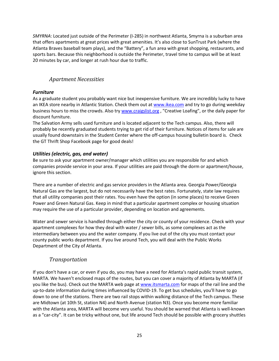*SMYRNA*: Located just outside of the Perimeter (I‐285) in northwest Atlanta, Smyrna is a suburban area that offers apartments at great prices with great amenities. It's also close to SunTrust Park (where the Atlanta Braves baseball team plays), and the "Battery", a fun area with great shopping, restaurants, and sports bars. Because this neighborhood is outside the Perimeter, travel time to campus will be at least 20 minutes by car, and longer at rush hour due to traffic.

### *Apartment Necessities*

#### <span id="page-24-0"></span>*Furniture*

As a graduate student you probably want nice but inexpensive furniture. We are incredibly lucky to have an IKEA store nearby in Atlantic Station. Check them out at [www.ikea.com](http://www.ikea.com/) and try to go during weekday business hours to miss the crowds. Also tr[y www.craigslist.org](http://www.craigslist.org/), "Creative Loafing", or the daily paper for discount furniture.

The Salvation Army sells used furniture and is located adjacent to the Tech campus. Also, there will probably be recently graduated students trying to get rid of their furniture. Notices of items for sale are usually found downstairs in the Student Center where the off-campus housing bulletin board is. Check the GT Thrift Shop Facebook page for good deals!

#### *Utilities (electric, gas, and water)*

Be sure to ask your apartment owner/manager which utilities you are responsible for and which companies provide service in your area. If your utilities are paid through the dorm or apartment/house, ignore this section.

There are a number of electric and gas service providers in the Atlanta area. Georgia Power/Georgia Natural Gas are the largest, but do not necessarily have the best rates. Fortunately, state law requires that all utility companies post their rates. You even have the option (in some places) to receive Green Power and Green Natural Gas. Keep in mind that a particular apartment complex or housing situation may require the use of a particular provider, depending on location and agreements.

Water and sewer service is handled through either the city or county of your residence. Check with your apartment complexes for how they deal with water / sewer bills, as some complexes act as the intermediary between you and the water company. If you live out of the city you must contact your county public works department. If you live around Tech, you will deal with the Public Works Department of the City of Atlanta.

#### *Transportation*

<span id="page-24-1"></span>If you don't have a car, or even if you do, you may have a need for Atlanta's rapid public transit system, MARTA. We haven't enclosed maps of the routes, but you can cover a majority of Atlanta by MARTA (if you like the bus). Check out the MARTA web page a[t www.itsmarta.com](http://www.itsmarta.com/) for maps of the rail line and the up-to-date information during times influenced by COVID-19. To get bus schedules, you'll have to go down to one of the stations. There are two rail stops within walking distance of the Tech campus. These are Midtown (at 10th St, station N4) and North Avenue (station N3). Once you become more familiar with the Atlanta area, MARTA will become very useful. You should be warned that Atlanta is well‐known as a "car‐city". It can be tricky without one, but life around Tech should be possible with grocery shuttles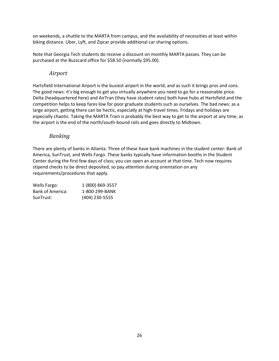on weekends, a shuttle to the MARTA from campus, and the availability of necessities at least within biking distance. Uber, Lyft, and Zipcar provide additional car sharing options.

Note that Georgia Tech students do receive a discount on monthly MARTA passes. They can be purchased at the Buzzcard office for \$58.50 (normally \$95.00).

#### *Airport*

<span id="page-25-0"></span>Hartsfield International Airport is the busiest airport in the world, and as such it brings pros and cons. The good news: it's big enough to get you virtually anywhere you need to go for a reasonable price. Delta (headquartered here) and AirTran (they have student rates) both have hubs at Hartsfield and the competition helps to keep fares low for poor graduate students such as ourselves. The bad news: as a large airport, getting there can be hectic, especially at high-travel times. Fridays and holidays are especially chaotic. Taking the MARTA Train is probably the best way to get to the airport at any time, as the airport is the end of the north/south-bound rails and goes directly to Midtown.

#### *Banking*

<span id="page-25-1"></span>There are plenty of banks in Atlanta. Three of these have bank machines in the student center: Bank of America, SunTrust, and Wells Fargo. These banks typically have information booths in the Student Center during the first few days of class; you can open an account at that time. Tech now requires stipend checks to be direct deposited, so pay attention during orientation on any requirements/procedures that apply.

| Wells Fargo:     | 1 (800) 869-3557 |
|------------------|------------------|
| Bank of America: | 1-800-299-BANK   |
| SunTrust:        | $(404)$ 230-5555 |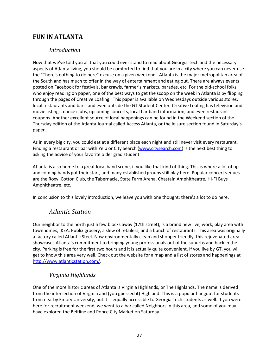## <span id="page-26-1"></span><span id="page-26-0"></span>**FUN IN ATLANTA**

#### *Introduction*

Now that we've told you all that you could ever stand to read about Georgia Tech and the necessary aspects of Atlanta living, you should be comforted to find that you are in a city where you can never use the "There's nothing to do here" excuse on a given weekend. Atlanta is the major metropolitan area of the South and has much to offer in the way of entertainment and eating out. There are always events posted on Facebook for festivals, bar crawls, farmer's markets, parades, etc. For the old-school folks who enjoy reading on paper, one of the best ways to get the scoop on the week in Atlanta is by flipping through the pages of Creative Loafing. This paper is available on Wednesdays outside various stores, local restaurants and bars, and even outside the GT Student Center. Creative Loafing has television and movie listings, dance clubs, upcoming concerts, local bar band information, and even restaurant coupons. Another excellent source of local happenings can be found in the Weekend section of the Thursday edition of the Atlanta Journal called Access Atlanta, or the leisure section found in Saturday's paper.

As in every big city, you could eat at a different place each night and still never visit every restaurant. Finding a restaurant or bar with Yelp or City Search [\(www.citysearch.com\)](http://www.citysearch.com/) is the next best thing to asking the advice of your favorite older grad student.

Atlanta is also home to a great local band scene, if you like that kind of thing. This is where a lot of up and coming bands got their start, and many established groups still play here. Popular concert venues are the Roxy, Cotton Club, the Tabernacle, State Farm Arena, Chastain Amphitheatre, HI‐FI Buys Amphitheatre, etc.

<span id="page-26-2"></span>In conclusion to this lovely introduction, we leave you with one thought: there's a lot to do here.

## *Atlantic Station*

Our neighbor to the north just a few blocks away (17th street), is a brand new live, work, play area with townhomes, IKEA, Publix grocery, a slew of retailers, and a bunch of restaurants. This area was originally a factory called Atlantic Steel. Now environmentally clean and shopper friendly, this rejuvenated area showcases Atlanta's commitment to bringing young professionals out of the suburbs and back in the city. Parking is free for the first two hours and it is actually quite convenient. If you live by GT, you will get to know this area very well. Check out the website for a map and a list of stores and happenings at [http://www.atlanticstation.com/.](http://www.atlanticstation.com/)

## *Virginia Highlands*

<span id="page-26-3"></span>One of the more historic areas of Atlanta is Virginia Highlands, or The Highlands. The name is derived from the intersection of Virginia and (you guessed it) Highland. This is a popular hangout for students from nearby Emory University, but it is equally accessible to Georgia Tech students as well. If you were here for recruitment weekend, we went to a bar called Neighbors in this area, and some of you may have explored the Beltline and Ponce City Market on Saturday.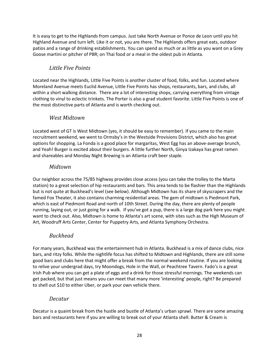It is easy to get to the Highlands from campus. Just take North Avenue or Ponce de Leon until you hit Highland Avenue and turn left. Like it or not, you are there. The Highlands offers great eats, outdoor patios and a range of drinking establishments. You can spend as much or as little as you want on a Grey Goose martini or pitcher of PBR; on Thai food or a meal in the oldest pub in Atlanta.

## *Little Five Points*

<span id="page-27-0"></span>Located near the Highlands, Little Five Points is another cluster of food, folks, and fun. Located where Moreland Avenue meets Euclid Avenue, Little Five Points has shops, restaurants, bars, and clubs, all within a short walking distance. There are a lot of interesting shops, carrying everything from vintage clothing to vinyl to eclectic trinkets. The Porter is also a grad student favorite. Little Five Points is one of the most distinctive parts of Atlanta and is worth checking out.

## *West Midtown*

<span id="page-27-1"></span>Located west of GT is West Midtown (yes, it should be easy to remember). If you came to the main recruitment weekend, we went to Ormsby's in the Westside Provisions District, which also has great options for shopping. La Fonda is a good place for margaritas, West Egg has an above-average brunch, and Yeah! Burger is excited about their burgers. A little further North, Ginya Izakaya has great ramen and shareables and Monday Night Brewing is an Atlanta craft beer staple.

#### *Midtown*

<span id="page-27-2"></span>Our neighbor across the 75/85 highway provides close access (you can take the trolley to the Marta station) to a great selection of hip restaurants and bars. This area tends to be flashier than the Highlands but is not quite at Buckhead's level (see below). Although Midtown has its share of skyscrapers and the famed Fox Theater, it also contains charming residential areas. The gem of midtown is Piedmont Park, which is east of Piedmont Road and north of 10th Street. During the day, there are plenty of people running, laying out, or just going for a walk. If you've got a pup, there is a large dog park here you might want to check out. Also, Midtown is home to Atlanta's art scene, with sites such as the High Museum of Art, Woodruff Arts Center, Center for Puppetry Arts, and Atlanta Symphony Orchestra.

## *Buckhead*

<span id="page-27-3"></span>For many years, Buckhead was the entertainment hub in Atlanta. Buckhead is a mix of dance clubs, nice bars, and ritzy folks. While the nightlife focus has shifted to Midtown and Highlands, there are still some good bars and clubs here that might offer a break from the normal weekend routine. If you are looking to relive your undergrad days, try Moondogs, Hole in the Wall, or Peachtree Tavern. Fado's is a great Irish Pub where you can get a plate of eggs and a drink for those stressful mornings. The weekends can get packed, but that just means you can meet that many more 'interesting' people, right? Be prepared to shell out \$10 to either Uber, or park your own vehicle there.

## *Decatur*

<span id="page-27-4"></span>Decatur is a quaint break from the hustle and bustle of Atlanta's urban sprawl. There are some amazing bars and restaurants here if you are willing to break out of your Atlanta shell. Butter & Cream is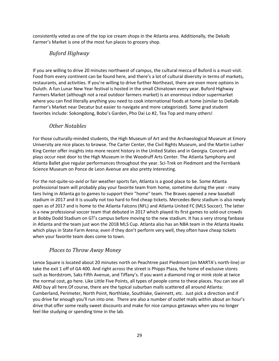<span id="page-28-0"></span>consistently voted as one of the top ice cream shops in the Atlanta area. Additionally, the Dekalb Farmer's Market is one of the most fun places to grocery shop.

## *Buford Highway*

If you are willing to drive 20 minutes northwest of campus, the cultural mecca of Buford is a must-visit. Food from every continent can be found here, and there's a lot of cultural diversity in terms of markets, restaurants, and activities. If you're willing to drive further Northeast, there are even more options in Duluth. A fun Lunar New Year festival is hosted in the small Chinatown every year. Buford Highway Farmers Market (although not a real outdoor farmers market) is an enormous indoor supermarket where you can find literally anything you need to cook international foods at home (similar to DeKalb Farmer's Market near Decatur but easier to navigate and more categorized). Some grad student favorites include: Sokongdong, Bobo's Garden, Pho Dai Lo #2, Tea Top and many others!

## *Other Notables*

<span id="page-28-1"></span>For those culturally‐minded students, the High Museum of Art and the Archaeological Museum at Emory University are nice places to browse. The Carter Center, the Civil Rights Museum, and the Martin Luther King Center offer insights into more recent history in the United States and in Georgia. Concerts and plays occur next door to the High Museum in the Woodruff Arts Center. The Atlanta Symphony and Atlanta Ballet give regular performances throughout the year. Sci-Trek on Piedmont and the Fernbank Science Museum on Ponce de Leon Avenue are also pretty interesting.

For the not-quite-so-avid or fair weather sports fan, Atlanta is a good place to be. Some Atlanta professional team will probably play your favorite team from home, sometime during the year ‐ many fans living in Atlanta go to games to support their "home" team. The Braves opened a new baseball stadium in 2017 and it is usually not too hard to find cheap tickets. Mercedes-Benz stadium is also newly open as of 2017 and is home to the Atlanta Falcons (NFL) and Atlanta United FC (MLS Soccer). The latter is a new professional soccer team that debuted in 2017 which played its first games to sold-out crowds at Bobby Dodd Stadium on GT's campus before moving to the new stadium. It has a very strong fanbase in Atlanta and the team just won the 2018 MLS Cup. Atlanta also has an NBA team in the Atlanta Hawks which plays in State Farm Arena; even if they don't perform very well, they often have cheap tickets when your favorite team does come to town.

## *Places to Throw Away Money*

<span id="page-28-2"></span>Lenox Square is located about 20 minutes north on Peachtree past Piedmont (on MARTA's north‐line) or take the exit 1 off of GA 400. And right across the street is Phipps Plaza, the home of exclusive stores such as Nordstrom, Saks Fifth Avenue, and Tiffany's. If you want a diamond ring or mink stole at twice the normal cost, go here. Like Little Five Points, all types of people come to these places. You can see all AND buy all here.Of course, there are the typical suburban malls scattered all around Atlanta: Cumberland, Perimeter, North Point, Northlake, Southlake, Gwinnett, etc. Just pick a direction and if you drive far enough you'll run into one. There are also a number of outlet malls within about an hour's drive that offer some really sweet discounts and make for nice campus getaways when you no longer feel like studying or spending time in the lab.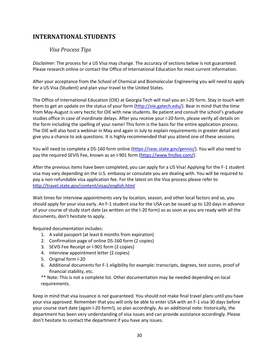## <span id="page-29-1"></span><span id="page-29-0"></span>**INTERNATIONAL STUDENTS**

#### *Visa Process Tips*

*Disclaimer*: The process for a US Visa may change. The accuracy of sections below is not guaranteed. Please research online or contact the Office of International Education for most current information.

After your acceptance from the School of Chemical and Biomolecular Engineering you will need to apply for a US Visa (Student) and plan your travel to the United States.

The Office of International Education (OIE) at Georgia Tech will mail you an I-20 form. Stay in touch with them to get an update on the status of your form [\(http://oie.gatech.edu/\)](http://oie.gatech.edu/). Bear in mind that the time from May-August is very hectic for OIE with new students. Be patient and consult the school's graduate studies office in case of inordinate delays. After you receive your I-20 form, please verify all details on the form including the spelling of your name! This form is the basis for the entire application process. The OIE will also host a webinar in May and again in July to explain requirements in greater detail and give you a chance to ask questions. It is highly recommended that you attend one of these sessions.

You will need to complete a DS-160 form online [\(https://ceac.state.gov/genniv/\)](https://ceac.state.gov/genniv/). You will also need to pay the required SEVIS Fee, known as an I-901 form [\(https://www.fmjfee.com/\)](https://www.fmjfee.com/).

After the previous items have been completed, you can apply for a US Visa! Applying for the F-1 student visa may vary depending on the U.S. embassy or consulate you are dealing with. You will be required to pay a non-refundable visa application fee. For the latest on the Visa process please refer to <http://travel.state.gov/content/visas/english.html>

Wait times for interview appointments vary by location, season, and other local factors and so, you should apply for your visa early. An F-1 student visa for the USA can be issued up to 120 days in advance of your course of study start date (as written on the I-20 form) so as soon as you are ready with all the documents, don't hesitate to apply.

Required documentation includes:

- 1. A valid passport (at least 6 months from expiration)
- 2. Confirmation page of online DS-160 form (2 copies)
- 3. SEVIS Fee Receipt or I-901 form (2 copies)
- 4. Interview appointment letter (2 copies)
- 5. Original form I-20
- 6. Additional documents for F-1 eligibility for example: transcripts, degrees, test scores, proof of financial stability, etc.

\*\* Note: This is not a complete list. Other documentation may be needed depending on local requirements.

Keep in mind that visa issuance is not guaranteed. You should not make final travel plans until you have your visa approved. Remember that you will only be able to enter USA with an F-1 visa 30 days before your course start date (again I-20 form!), so plan accordingly. As an additional note: historically, the department has been very understanding of visa issues and can provide assistance accordingly. Please don't hesitate to contact the department if you have any issues.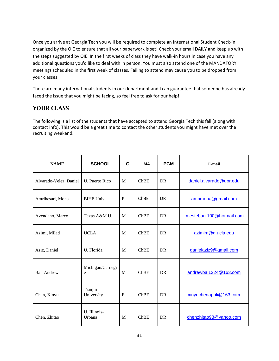Once you arrive at Georgia Tech you will be required to complete an International Student Check-in organized by the OIE to ensure that all your paperwork is set! Check your email DAILY and keep up with the steps suggested by OIE. In the first weeks of class they have walk-in hours in case you have any additional questions you'd like to deal with in person. You must also attend one of the MANDATORY meetings scheduled in the first week of classes. Failing to attend may cause you to be dropped from your classes.

There are many international students in our department and I can guarantee that someone has already faced the issue that you might be facing, so feel free to ask for our help!

## <span id="page-30-0"></span>**YOUR CLASS**

The following is a list of the students that have accepted to attend Georgia Tech this fall (along with contact info). This would be a great time to contact the other students you might have met over the recruiting weekend.

| <b>NAME</b>            | <b>SCHOOL</b>          | G | <b>MA</b> | <b>PGM</b> | E-mail                    |
|------------------------|------------------------|---|-----------|------------|---------------------------|
| Alvarado-Velez, Daniel | U. Puerto Rico         | M | ChBE      | <b>DR</b>  | daniel.alvarado@upr.edu   |
| Amrihesari, Mona       | <b>BIHE Univ.</b>      | F | ChBE      | <b>DR</b>  | amrimona@gmail.com        |
| Avendano, Marco        | Texas A&M U.           | M | ChBE      | <b>DR</b>  | m.esteban.100@hotmail.com |
| Azimi, Milad           | <b>UCLA</b>            | M | ChBE      | <b>DR</b>  | azimim@g.ucla.edu         |
| Aziz, Daniel           | U. Florida             | M | ChBE      | <b>DR</b>  | danielaziz9@gmail.com     |
| Bai, Andrew            | Michigan/Carnegi<br>e  | M | ChBE      | <b>DR</b>  | andrewbai1224@163.com     |
| Chen, Xinyu            | Tianjin<br>University  | F | ChBE      | <b>DR</b>  | xinyuchenappli@163.com    |
| Chen, Zhitao           | U. Illinois-<br>Urbana | M | ChBE      | <b>DR</b>  | chenzhitao98@yahoo.com    |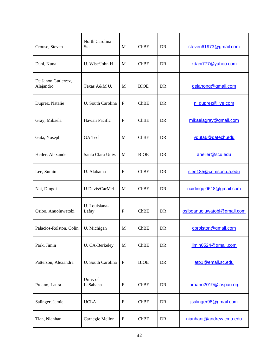| Crouse, Steven                   | North Carolina<br>Sta  | M                         | ChBE        | <b>DR</b> | steven61973@gmail.com       |
|----------------------------------|------------------------|---------------------------|-------------|-----------|-----------------------------|
| Dani, Kunal                      | U. Wisc/John H         | M                         | ChBE        | <b>DR</b> | kdani777@yahoo.com          |
| De Janon Gutierrez,<br>Alejandro | Texas A&M U.           | M                         | <b>BIOE</b> | <b>DR</b> | dejanong@gmail.com          |
| Duprez, Natalie                  | U. South Carolina      | $\mathbf{F}$              | ChBE        | <b>DR</b> | n_duprez@live.com           |
| Gray, Mikaela                    | Hawaii Pacific         | $\mathbf{F}$              | ChBE        | <b>DR</b> | mikaelagray@gmail.com       |
| Guta, Yoseph                     | GA Tech                | M                         | ChBE        | <b>DR</b> | yguta6@gatech.edu           |
| Heiler, Alexander                | Santa Clara Univ.      | M                         | <b>BIOE</b> | <b>DR</b> | aheiler@scu.edu             |
| Lee, Sumin                       | U. Alabama             | $\mathbf{F}$              | ChBE        | <b>DR</b> | slee185@crimson.ua.edu      |
| Nai, Dingqi                      | U.Davis/CarMel         | M                         | ChBE        | <b>DR</b> | naidingqi0618@gmail.com     |
| Osibo, Anuoluwatobi              | U. Louisiana-<br>Lafay | $\mathbf{F}$              | ChBE        | <b>DR</b> | osiboanuoluwatobi@gmail.com |
| Palacios-Rolston, Colin          | U. Michigan            | M                         | ChBE        | <b>DR</b> | cprolston@gmail.com         |
| Park, Jimin                      | U. CA-Berkeley         | M                         | ChBE        | DR        | jimin0524@gmail.com         |
| Patterson, Alexandra             | U. South Carolina      | ${\bf F}$                 | <b>BIOE</b> | DR        | atp1@email.sc.edu           |
| Proano, Laura                    | Univ. of<br>LaSabana   | $\boldsymbol{\mathrm{F}}$ | ChBE        | DR        | lproano2019@laspau.org      |
| Salinger, Jamie                  | <b>UCLA</b>            | $\mathbf{F}$              | ChBE        | DR        | jsalinger98@gmail.com       |
| Tian, Nianhan                    | Carnegie Mellon        | $\boldsymbol{\mathrm{F}}$ | ChBE        | DR        | nianhant@andrew.cmu.edu     |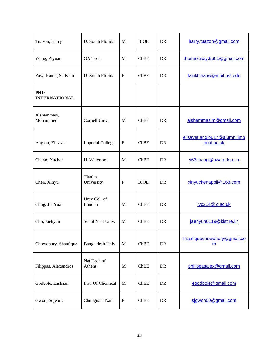| Tuazon, Harry                      | U. South Florida        | M            | <b>BIOE</b> | DR         | harry.tuazon@gmail.com                      |
|------------------------------------|-------------------------|--------------|-------------|------------|---------------------------------------------|
| Wang, Ziyuan                       | GA Tech                 | M            | ChBE        | DR         | thomas.wzy.8681@gmail.com                   |
| Zaw, Kaung Su Khin                 | U. South Florida        | $\mathbf{F}$ | ChBE        | DR         | ksukhinzaw@mail.usf.edu                     |
| <b>PHD</b><br><b>INTERNATIONAL</b> |                         |              |             |            |                                             |
| Alshammasi,<br>Mohammed            | Cornell Univ.           | M            | ChBE        | <b>DR</b>  | alshammasim@gmail.com                       |
| Anglou, Elisavet                   | <b>Imperial College</b> | $\mathbf{F}$ | ChBE        | <b>DR</b>  | elisavet.anglou17@alumni.imp<br>erial.ac.uk |
| Chang, Yuchen                      | U. Waterloo             | M            | ChBE        | DR         | y63chang@uwaterloo.ca                       |
| Chen, Xinyu                        | Tianjin<br>University   | $\mathbf{F}$ | <b>BIOE</b> | <b>DR</b>  | xinyuchenappli@163.com                      |
| Chng, Jia Yuan                     | Univ Coll of<br>London  | M            | ChBE        | <b>DR</b>  | jyc214@ic.ac.uk                             |
| Cho, Jaehyun                       | Seoul Nat'l Univ.       | M            | ChBE        | DR         | jaehyun0119@kist.re.kr                      |
| Chowdhury, Shaafique               | Bangladesh Univ.        | $\mathbf M$  | ChBE        | ${\rm DR}$ | shaafiquechowdhury@gmail.co<br>m            |
| Filippas, Alexandros               | Nat Tech of<br>Athens   | M            | ChBE        | DR         | philippasalex@gmail.com                     |
| Godbole, Eashaan                   | Inst. Of Chemical       | $\mathbf M$  | ChBE        | DR         | egodbole@gmail.com                          |
| Gwon, Sojeong                      | Chungnam Nat'l          | ${\bf F}$    | ChBE        | DR         | sigwon00@gmail.com                          |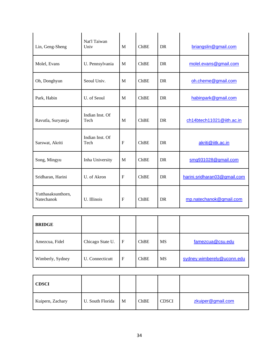| Lin, Geng-Sheng                  | Nat'l Taiwan<br>Univ    | M                | ChBE | <b>DR</b> | briangslin@gmail.com         |
|----------------------------------|-------------------------|------------------|------|-----------|------------------------------|
| Molel, Evans                     | U. Pennsylvania         | M                | ChBE | DR.       | molel.evans@gmail.com        |
| Oh, Donghyun                     | Seoul Univ.             | M                | ChBE | <b>DR</b> | oh.cheme@gmail.com           |
| Park, Habin                      | U. of Seoul             | M                | ChBE | DR.       | habinpark@gmail.com          |
| Ravutla, Suryateja               | Indian Inst. Of<br>Tech | M                | ChBE | <b>DR</b> | ch14btech11021@iith.ac.in    |
| Sarswat, Akriti                  | Indian Inst. Of<br>Tech | $\boldsymbol{F}$ | ChBE | <b>DR</b> | akriti@iitk.ac.in            |
| Song, Mingyu                     | Inha University         | M                | ChBE | <b>DR</b> | smg931028@gmail.com          |
| Sridharan, Harini                | U. of Akron             | F                | ChBE | <b>DR</b> | harini.sridharan03@gmail.com |
| Yutthasaksunthorn,<br>Natechanok | U. Illinois             | $\boldsymbol{F}$ | ChBE | <b>DR</b> | mp.natechanok@gmail.com      |

| <b>BRIDGE</b>    |                  |             |      |           |                            |
|------------------|------------------|-------------|------|-----------|----------------------------|
| Amezcua, Fidel   | Chicago State U. | $\mathbf F$ | ChBE | <b>MS</b> | famezcua@csu.edu           |
| Wimberly, Sydney | U. Connecticutt  | F           | ChBE | <b>MS</b> | sydney.wimberely@uconn.edu |

| <b>CDSCI</b>     |                  |   |      |              |                   |
|------------------|------------------|---|------|--------------|-------------------|
| Kuipern, Zachary | U. South Florida | M | ChBE | <b>CDSCI</b> | zkuiper@gmail.com |